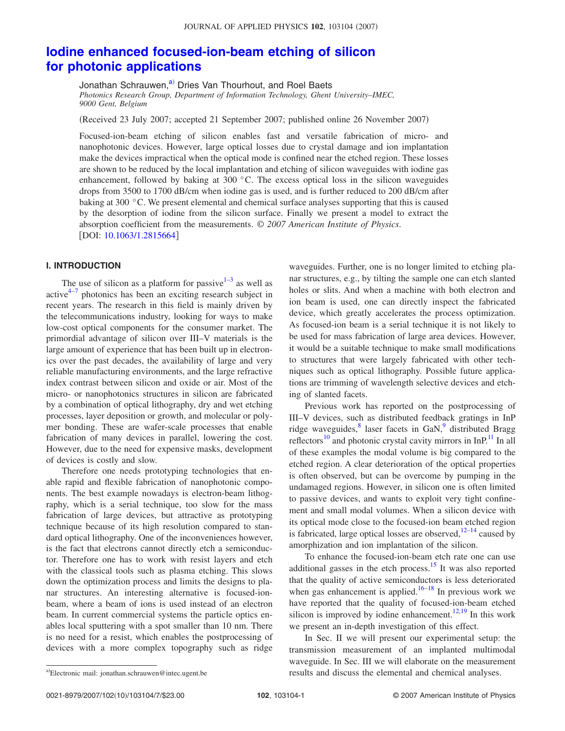# **[Iodine enhanced focused-ion-beam etching of silicon](http://dx.doi.org/10.1063/1.2815664) [for photonic applications](http://dx.doi.org/10.1063/1.2815664)**

Jonathan Schrauwen,<sup>a)</sup> Dries Van Thourhout, and Roel Baets

*Photonics Research Group, Department of Information Technology, Ghent University–IMEC, 9000 Gent, Belgium*

(Received 23 July 2007; accepted 21 September 2007; published online 26 November 2007)

Focused-ion-beam etching of silicon enables fast and versatile fabrication of micro- and nanophotonic devices. However, large optical losses due to crystal damage and ion implantation make the devices impractical when the optical mode is confined near the etched region. These losses are shown to be reduced by the local implantation and etching of silicon waveguides with iodine gas enhancement, followed by baking at 300 °C. The excess optical loss in the silicon waveguides drops from 3500 to 1700 dB/cm when iodine gas is used, and is further reduced to 200 dB/cm after baking at 300 °C. We present elemental and chemical surface analyses supporting that this is caused by the desorption of iodine from the silicon surface. Finally we present a model to extract the absorption coefficient from the measurements. © *2007 American Institute of Physics*. [DOI: [10.1063/1.2815664](http://dx.doi.org/10.1063/1.2815664)]

# **I. INTRODUCTION**

The use of silicon as a platform for passive $1-3$  as well as active $4\frac{4}{7}$  photonics has been an exciting research subject in recent years. The research in this field is mainly driven by the telecommunications industry, looking for ways to make low-cost optical components for the consumer market. The primordial advantage of silicon over III–V materials is the large amount of experience that has been built up in electronics over the past decades, the availability of large and very reliable manufacturing environments, and the large refractive index contrast between silicon and oxide or air. Most of the micro- or nanophotonics structures in silicon are fabricated by a combination of optical lithography, dry and wet etching processes, layer deposition or growth, and molecular or polymer bonding. These are wafer-scale processes that enable fabrication of many devices in parallel, lowering the cost. However, due to the need for expensive masks, development of devices is costly and slow.

Therefore one needs prototyping technologies that enable rapid and flexible fabrication of nanophotonic components. The best example nowadays is electron-beam lithography, which is a serial technique, too slow for the mass fabrication of large devices, but attractive as prototyping technique because of its high resolution compared to standard optical lithography. One of the inconveniences however, is the fact that electrons cannot directly etch a semiconductor. Therefore one has to work with resist layers and etch with the classical tools such as plasma etching. This slows down the optimization process and limits the designs to planar structures. An interesting alternative is focused-ionbeam, where a beam of ions is used instead of an electron beam. In current commercial systems the particle optics enables local sputtering with a spot smaller than 10 nm. There is no need for a resist, which enables the postprocessing of devices with a more complex topography such as ridge

waveguides. Further, one is no longer limited to etching planar structures, e.g., by tilting the sample one can etch slanted holes or slits. And when a machine with both electron and ion beam is used, one can directly inspect the fabricated device, which greatly accelerates the process optimization. As focused-ion beam is a serial technique it is not likely to be used for mass fabrication of large area devices. However, it would be a suitable technique to make small modifications to structures that were largely fabricated with other techniques such as optical lithography. Possible future applications are trimming of wavelength selective devices and etching of slanted facets.

Previous work has reported on the postprocessing of III–V devices, such as distributed feedback gratings in InP ridge waveguides, $\frac{8}{3}$  laser facets in GaN, $\frac{9}{3}$  distributed Bragg reflectors<sup>10</sup> and photonic crystal cavity mirrors in InP.<sup>11</sup> In all of these examples the modal volume is big compared to the etched region. A clear deterioration of the optical properties is often observed, but can be overcome by pumping in the undamaged regions. However, in silicon one is often limited to passive devices, and wants to exploit very tight confinement and small modal volumes. When a silicon device with its optical mode close to the focused-ion beam etched region is fabricated, large optical losses are observed,  $12-14$  caused by amorphization and ion implantation of the silicon.

To enhance the focused-ion-beam etch rate one can use additional gasses in the etch process. $15$  It was also reported that the quality of active semiconductors is less deteriorated when gas enhancement is applied.<sup>16[–18](#page-5-12)</sup> In previous work we have reported that the quality of focused-ion-beam etched silicon is improved by iodine enhancement.<sup>12,[19](#page-5-13)</sup> In this work we present an in-depth investigation of this effect.

In Sec. II we will present our experimental setup: the transmission measurement of an implanted multimodal waveguide. In Sec. III we will elaborate on the measurement results and discuss the elemental and chemical analyses.

<span id="page-0-0"></span>Electronic mail: jonathan.schrauwen@intec.ugent.be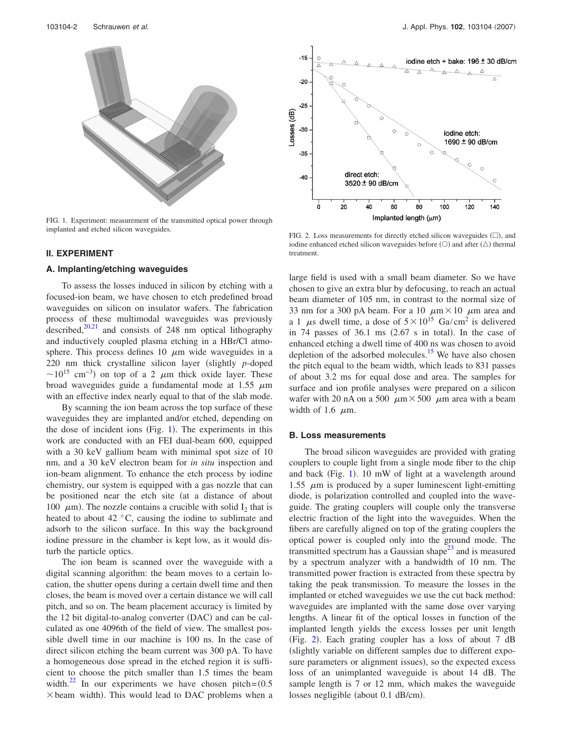<span id="page-1-0"></span>

FIG. 1. Experiment: measurement of the transmitted optical power through

#### **II. EXPERIMENT**

## **A. Implanting/etching waveguides**

To assess the losses induced in silicon by etching with a focused-ion beam, we have chosen to etch predefined broad waveguides on silicon on insulator wafers. The fabrication process of these multimodal waveguides was previously described, $20,21$  $20,21$  and consists of 248 nm optical lithography and inductively coupled plasma etching in a HBr/Cl atmosphere. This process defines 10  $\mu$ m wide waveguides in a 220 nm thick crystalline silicon layer (slightly  $p$ -doped  $\sim$ 10<sup>15</sup> cm<sup>-3</sup>) on top of a 2  $\mu$ m thick oxide layer. These broad waveguides guide a fundamental mode at 1.55  $\mu$ m with an effective index nearly equal to that of the slab mode.

By scanning the ion beam across the top surface of these waveguides they are implanted and/or etched, depending on the dose of incident ions (Fig. [1](#page-1-0)). The experiments in this work are conducted with an FEI dual-beam 600, equipped with a 30 keV gallium beam with minimal spot size of 10 nm, and a 30 keV electron beam for *in situ* inspection and ion-beam alignment. To enhance the etch process by iodine chemistry, our system is equipped with a gas nozzle that can be positioned near the etch site (at a distance of about 100  $\mu$ m). The nozzle contains a crucible with solid I<sub>2</sub> that is heated to about 42 °C, causing the iodine to sublimate and adsorb to the silicon surface. In this way the background iodine pressure in the chamber is kept low, as it would disturb the particle optics.

The ion beam is scanned over the waveguide with a digital scanning algorithm: the beam moves to a certain location, the shutter opens during a certain dwell time and then closes, the beam is moved over a certain distance we will call pitch, and so on. The beam placement accuracy is limited by the 12 bit digital-to-analog converter (DAC) and can be calculated as one 4096th of the field of view. The smallest possible dwell time in our machine is 100 ns. In the case of direct silicon etching the beam current was 300 pA. To have a homogeneous dose spread in the etched region it is sufficient to choose the pitch smaller than 1.5 times the beam width.<sup>22</sup> In our experiments we have chosen pitch= $(0.5$  $\times$  beam width). This would lead to DAC problems when a

<span id="page-1-1"></span>

implanted and etched silicon waveguides.<br>
FIG. 2. Loss measurements for directly etched silicon waveguides ( $\square$ ), and iodine enhanced etched silicon waveguides before  $(\bigcirc)$  and after  $(\bigtriangleup)$  thermal treatment.

large field is used with a small beam diameter. So we have chosen to give an extra blur by defocusing, to reach an actual beam diameter of 105 nm, in contrast to the normal size of 33 nm for a 300 pA beam. For a 10  $\mu$ m  $\times$  10  $\mu$ m area and a 1  $\mu$ s dwell time, a dose of  $5 \times 10^{15}$  Ga/cm<sup>2</sup> is delivered in  $74$  passes of  $36.1$  ms  $(2.67 \text{ s in total})$ . In the case of enhanced etching a dwell time of 400 ns was chosen to avoid depletion of the adsorbed molecules.<sup>15</sup> We have also chosen the pitch equal to the beam width, which leads to 831 passes of about 3.2 ms for equal dose and area. The samples for surface and ion profile analyses were prepared on a silicon wafer with 20 nA on a 500  $\mu$ m  $\times$  500  $\mu$ m area with a beam width of 1.6  $\mu$ m.

#### **B. Loss measurements**

The broad silicon waveguides are provided with grating couplers to couple light from a single mode fiber to the chip and back (Fig. [1](#page-1-0)). 10 mW of light at a wavelength around 1.55  $\mu$ m is produced by a super luminescent light-emitting diode, is polarization controlled and coupled into the waveguide. The grating couplers will couple only the transverse electric fraction of the light into the waveguides. When the fibers are carefully aligned on top of the grating couplers the optical power is coupled only into the ground mode. The transmitted spectrum has a Gaussian shape<sup>23</sup> and is measured by a spectrum analyzer with a bandwidth of 10 nm. The transmitted power fraction is extracted from these spectra by taking the peak transmission. To measure the losses in the implanted or etched waveguides we use the cut back method: waveguides are implanted with the same dose over varying lengths. A linear fit of the optical losses in function of the implanted length yields the excess losses per unit length (Fig. [2](#page-1-1)). Each grating coupler has a loss of about 7 dB (slightly variable on different samples due to different exposure parameters or alignment issues), so the expected excess loss of an unimplanted waveguide is about 14 dB. The sample length is 7 or 12 mm, which makes the waveguide losses negligible (about 0.1 dB/cm).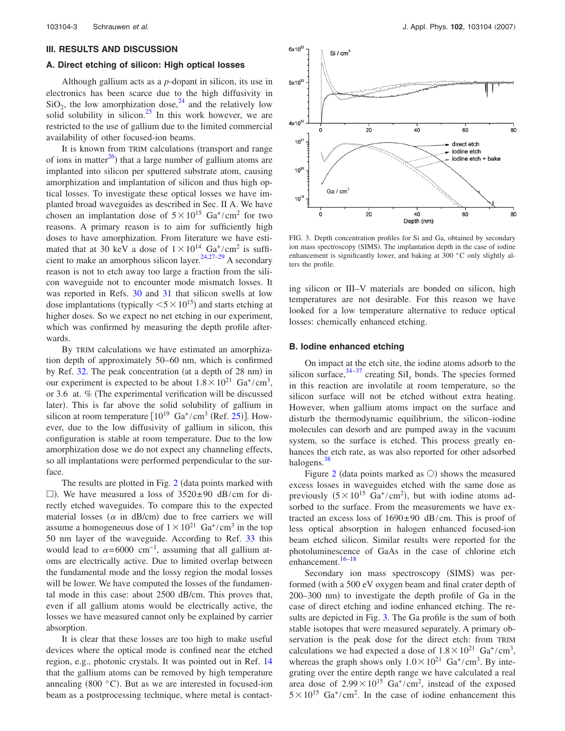#### **III. RESULTS AND DISCUSSION**

## **A. Direct etching of silicon: High optical losses**

Although gallium acts as a *p*-dopant in silicon, its use in electronics has been scarce due to the high diffusivity in  $SiO<sub>2</sub>$ , the low amorphization dose,<sup>24</sup> and the relatively low solid solubility in silicon. $25$  In this work however, we are restricted to the use of gallium due to the limited commercial availability of other focused-ion beams.

It is known from TRIM calculations (transport and range of ions in matter $^{26}$ ) that a large number of gallium atoms are implanted into silicon per sputtered substrate atom, causing amorphization and implantation of silicon and thus high optical losses. To investigate these optical losses we have implanted broad waveguides as described in Sec. II A. We have chosen an implantation dose of  $5 \times 10^{15}$  Ga<sup>+</sup>/cm<sup>2</sup> for two reasons. A primary reason is to aim for sufficiently high doses to have amorphization. From literature we have estimated that at 30 keV a dose of  $1 \times 10^{14}$  Ga<sup>+</sup>/cm<sup>2</sup> is suffi-cient to make an amorphous silicon layer.<sup>24[,27–](#page-6-6)[29](#page-6-7)</sup> A secondary reason is not to etch away too large a fraction from the silicon waveguide not to encounter mode mismatch losses. It was reported in Refs. [30](#page-6-8) and [31](#page-6-9) that silicon swells at low dose implantations (typically  $\leq 5 \times 10^{15}$ ) and starts etching at higher doses. So we expect no net etching in our experiment, which was confirmed by measuring the depth profile afterwards.

By TRIM calculations we have estimated an amorphization depth of approximately 50–60 nm, which is confirmed by Ref. [32.](#page-6-10) The peak concentration (at a depth of 28 nm) in our experiment is expected to be about  $1.8 \times 10^{21}$  Ga<sup>+</sup>/cm<sup>3</sup>, or 3.6 at. % (The experimental verification will be discussed later). This is far above the solid solubility of gallium in silicon at room temperature  $[10^{19} \text{ Ga}^+/\text{cm}^3 \text{ (Ref. 25)}]$  $[10^{19} \text{ Ga}^+/\text{cm}^3 \text{ (Ref. 25)}]$  $[10^{19} \text{ Ga}^+/\text{cm}^3 \text{ (Ref. 25)}]$ . However, due to the low diffusivity of gallium in silicon, this configuration is stable at room temperature. Due to the low amorphization dose we do not expect any channeling effects, so all implantations were performed perpendicular to the surface.

The results are plotted in Fig. [2](#page-1-1) (data points marked with  $\Box$ ). We have measured a loss of 3520 $\pm$ 90 dB/cm for directly etched waveguides. To compare this to the expected material losses ( $\alpha$  in dB/cm) due to free carriers we will assume a homogeneous dose of  $1 \times 10^{21}$  Ga<sup>+</sup>/cm<sup>3</sup> in the top 50 nm layer of the waveguide. According to Ref. [33](#page-6-11) this would lead to  $\alpha$ =6000 cm<sup>-1</sup>, assuming that all gallium atoms are electrically active. Due to limited overlap between the fundamental mode and the lossy region the modal losses will be lower. We have computed the losses of the fundamental mode in this case: about 2500 dB/cm. This proves that, even if all gallium atoms would be electrically active, the losses we have measured cannot only be explained by carrier absorption.

It is clear that these losses are too high to make useful devices where the optical mode is confined near the etched region, e.g., photonic crystals. It was pointed out in Ref. [14](#page-5-9) that the gallium atoms can be removed by high temperature annealing  $(800 °C)$ . But as we are interested in focused-ion beam as a postprocessing technique, where metal is contact-

<span id="page-2-0"></span>

FIG. 3. Depth concentration profiles for Si and Ga, obtained by secondary ion mass spectroscopy (SIMS). The implantation depth in the case of iodine enhancement is significantly lower, and baking at 300 °C only slightly alters the profile.

ing silicon or III–V materials are bonded on silicon, high temperatures are not desirable. For this reason we have looked for a low temperature alternative to reduce optical losses: chemically enhanced etching.

#### **B. Iodine enhanced etching**

On impact at the etch site, the iodine atoms adsorb to the silicon surface,  $34-37$  $34-37$  creating SiI<sub>x</sub> bonds. The species formed in this reaction are involatile at room temperature, so the silicon surface will not be etched without extra heating. However, when gallium atoms impact on the surface and disturb the thermodynamic equilibrium, the silicon–iodine molecules can desorb and are pumped away in the vacuum system, so the surface is etched. This process greatly enhances the etch rate, as was also reported for other adsorbed halogens.<sup>38</sup>

Figure [2](#page-1-1) (data points marked as  $\circ$ ) shows the measured excess losses in waveguides etched with the same dose as previously  $(5 \times 10^{15} \text{ Ga}^+/\text{cm}^2)$ , but with iodine atoms adsorbed to the surface. From the measurements we have extracted an excess loss of  $1690±90$  dB/cm. This is proof of less optical absorption in halogen enhanced focused-ion beam etched silicon. Similar results were reported for the photoluminescence of GaAs in the case of chlorine etch enhancement[.16](#page-5-11)[–18](#page-5-12)

Secondary ion mass spectroscopy (SIMS) was performed (with a 500 eV oxygen beam and final crater depth of 200-300 nm) to investigate the depth profile of Ga in the case of direct etching and iodine enhanced etching. The results are depicted in Fig. [3.](#page-2-0) The Ga profile is the sum of both stable isotopes that were measured separately. A primary observation is the peak dose for the direct etch: from TRIM calculations we had expected a dose of  $1.8 \times 10^{21}$  Ga<sup>+</sup>/cm<sup>3</sup>, whereas the graph shows only  $1.0 \times 10^{21}$  Ga<sup>+</sup>/cm<sup>3</sup>. By integrating over the entire depth range we have calculated a real area dose of  $2.99 \times 10^{15}$  Ga<sup>+</sup>/cm<sup>2</sup>, instead of the exposed  $5 \times 10^{15}$  Ga<sup>+</sup>/cm<sup>2</sup>. In the case of iodine enhancement this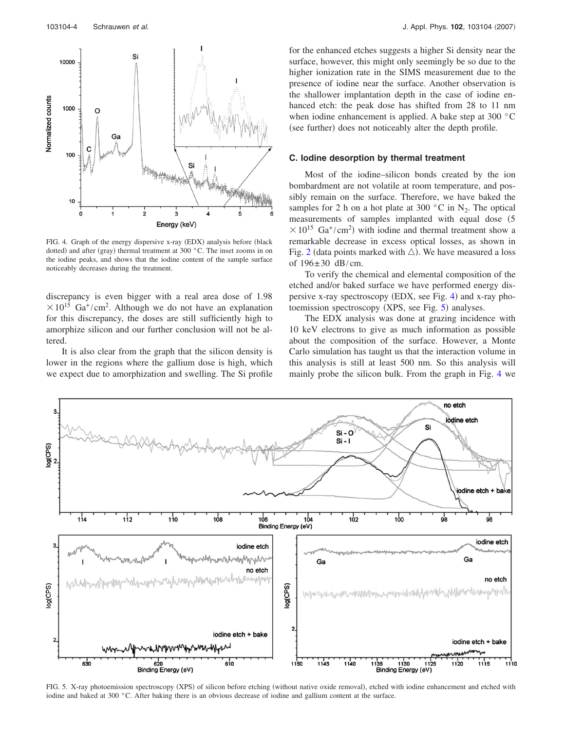<span id="page-3-0"></span>

FIG. 4. Graph of the energy dispersive x-ray (EDX) analysis before (black dotted) and after (gray) thermal treatment at 300 °C. The inset zooms in on the iodine peaks, and shows that the iodine content of the sample surface noticeably decreases during the treatment.

discrepancy is even bigger with a real area dose of 1.98  $\times$  10<sup>15</sup> Ga<sup>+</sup>/cm<sup>2</sup>. Although we do not have an explanation for this discrepancy, the doses are still sufficiently high to amorphize silicon and our further conclusion will not be altered.

It is also clear from the graph that the silicon density is lower in the regions where the gallium dose is high, which we expect due to amorphization and swelling. The Si profile for the enhanced etches suggests a higher Si density near the surface, however, this might only seemingly be so due to the higher ionization rate in the SIMS measurement due to the presence of iodine near the surface. Another observation is the shallower implantation depth in the case of iodine enhanced etch: the peak dose has shifted from 28 to 11 nm when iodine enhancement is applied. A bake step at 300 °C (see further) does not noticeably alter the depth profile.

#### **C. Iodine desorption by thermal treatment**

Most of the iodine–silicon bonds created by the ion bombardment are not volatile at room temperature, and possibly remain on the surface. Therefore, we have baked the samples for 2 h on a hot plate at 300 °C in  $N_2$ . The optical measurements of samples implanted with equal dose (5)  $\times$  10<sup>15</sup> Ga<sup>+</sup>/cm<sup>2</sup>) with iodine and thermal treatment show a remarkable decrease in excess optical losses, as shown in Fig. [2](#page-1-1) (data points marked with  $\triangle$ ). We have measured a loss of  $196 \pm 30$  dB/cm.

To verify the chemical and elemental composition of the etched and/or baked surface we have performed energy dis-persive x-ray spectroscopy (EDX, see Fig. [4](#page-3-0)) and x-ray pho-toemission spectroscopy (XPS, see Fig. [5](#page-3-1)) analyses.

The EDX analysis was done at grazing incidence with 10 keV electrons to give as much information as possible about the composition of the surface. However, a Monte Carlo simulation has taught us that the interaction volume in this analysis is still at least 500 nm. So this analysis will mainly probe the silicon bulk. From the graph in Fig. [4](#page-3-0) we

<span id="page-3-1"></span>

FIG. 5. X-ray photoemission spectroscopy (XPS) of silicon before etching (without native oxide removal), etched with iodine enhancement and etched with iodine and baked at 300 °C. After baking there is an obvious decrease of iodine and gallium content at the surface.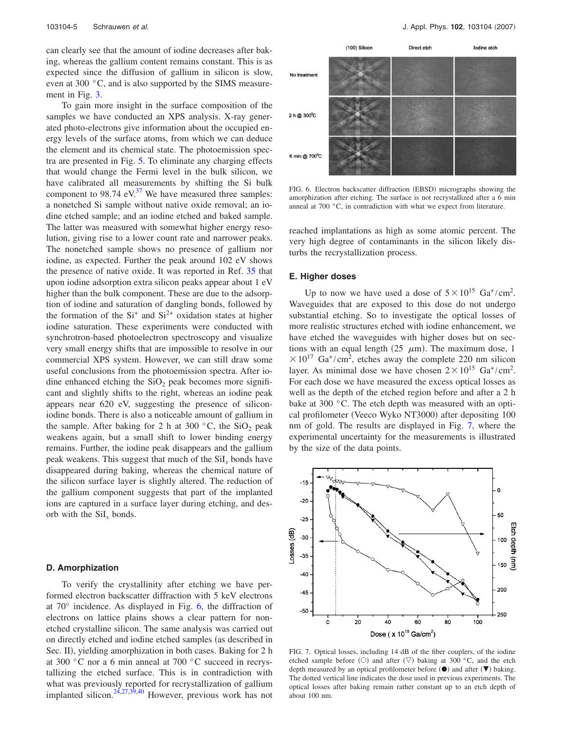can clearly see that the amount of iodine decreases after baking, whereas the gallium content remains constant. This is as expected since the diffusion of gallium in silicon is slow, even at 300 °C, and is also supported by the SIMS measurement in Fig. [3.](#page-2-0)

To gain more insight in the surface composition of the samples we have conducted an XPS analysis. X-ray generated photo-electrons give information about the occupied energy levels of the surface atoms, from which we can deduce the element and its chemical state. The photoemission spectra are presented in Fig. [5.](#page-3-1) To eliminate any charging effects that would change the Fermi level in the bulk silicon, we have calibrated all measurements by shifting the Si bulk component to 98.74  $eV<sup>37</sup>$  We have measured three samples: a nonetched Si sample without native oxide removal; an iodine etched sample; and an iodine etched and baked sample. The latter was measured with somewhat higher energy resolution, giving rise to a lower count rate and narrower peaks. The nonetched sample shows no presence of gallium nor iodine, as expected. Further the peak around 102 eV shows the presence of native oxide. It was reported in Ref. [35](#page-6-15) that upon iodine adsorption extra silicon peaks appear about 1 eV higher than the bulk component. These are due to the adsorption of iodine and saturation of dangling bonds, followed by the formation of the  $Si<sup>+</sup>$  and  $Si<sup>2+</sup>$  oxidation states at higher iodine saturation. These experiments were conducted with synchrotron-based photoelectron spectroscopy and visualize very small energy shifts that are impossible to resolve in our commercial XPS system. However, we can still draw some useful conclusions from the photoemission spectra. After iodine enhanced etching the  $SiO<sub>2</sub>$  peak becomes more significant and slightly shifts to the right, whereas an iodine peak appears near 620 eV, suggesting the presence of siliconiodine bonds. There is also a noticeable amount of gallium in the sample. After baking for 2 h at 300  $^{\circ}$ C, the SiO<sub>2</sub> peak weakens again, but a small shift to lower binding energy remains. Further, the iodine peak disappears and the gallium peak weakens. This suggest that much of the  $SiI<sub>x</sub>$  bonds have disappeared during baking, whereas the chemical nature of the silicon surface layer is slightly altered. The reduction of the gallium component suggests that part of the implanted ions are captured in a surface layer during etching, and desorb with the SiI*<sup>x</sup>* bonds.

## **D. Amorphization**

To verify the crystallinity after etching we have performed electron backscatter diffraction with 5 keV electrons at 70° incidence. As displayed in Fig. [6,](#page-4-0) the diffraction of electrons on lattice plains shows a clear pattern for nonetched crystalline silicon. The same analysis was carried out on directly etched and iodine etched samples (as described in Sec. II), yielding amorphization in both cases. Baking for 2 h at 300 °C nor a 6 min anneal at 700 °C succeed in recrystallizing the etched surface. This is in contradiction with what was previously reported for recrystallization of gallium implanted silicon. $24,27,39,40$  $24,27,39,40$  $24,27,39,40$  $24,27,39,40$  However, previous work has not

<span id="page-4-0"></span>

FIG. 6. Electron backscatter diffraction (EBSD) micrographs showing the amorphization after etching. The surface is not recrystallized after a 6 min anneal at 700 °C, in contradiction with what we expect from literature.

reached implantations as high as some atomic percent. The very high degree of contaminants in the silicon likely disturbs the recrystallization process.

#### **E. Higher doses**

Up to now we have used a dose of  $5 \times 10^{15}$  Ga<sup>+</sup>/cm<sup>2</sup>. Waveguides that are exposed to this dose do not undergo substantial etching. So to investigate the optical losses of more realistic structures etched with iodine enhancement, we have etched the waveguides with higher doses but on sections with an equal length  $(25 \mu m)$ . The maximum dose, 1  $\times 10^{17}$  Ga<sup>+</sup>/cm<sup>2</sup>, etches away the complete 220 nm silicon layer. As minimal dose we have chosen  $2 \times 10^{15}$  Ga<sup>+</sup>/cm<sup>2</sup>. For each dose we have measured the excess optical losses as well as the depth of the etched region before and after a 2 h bake at 300 °C. The etch depth was measured with an optical profilometer (Veeco Wyko NT3000) after depositing 100 nm of gold. The results are displayed in Fig. [7,](#page-4-1) where the experimental uncertainty for the measurements is illustrated by the size of the data points.

<span id="page-4-1"></span>

FIG. 7. Optical losses, including 14 dB of the fiber couplers, of the iodine etched sample before (O) and after  $(\nabla)$  baking at 300 °C, and the etch depth measured by an optical profilometer before  $(\bullet)$  and after  $(\blacktriangledown)$  baking. The dotted vertical line indicates the dose used in previous experiments. The optical losses after baking remain rather constant up to an etch depth of about 100 nm.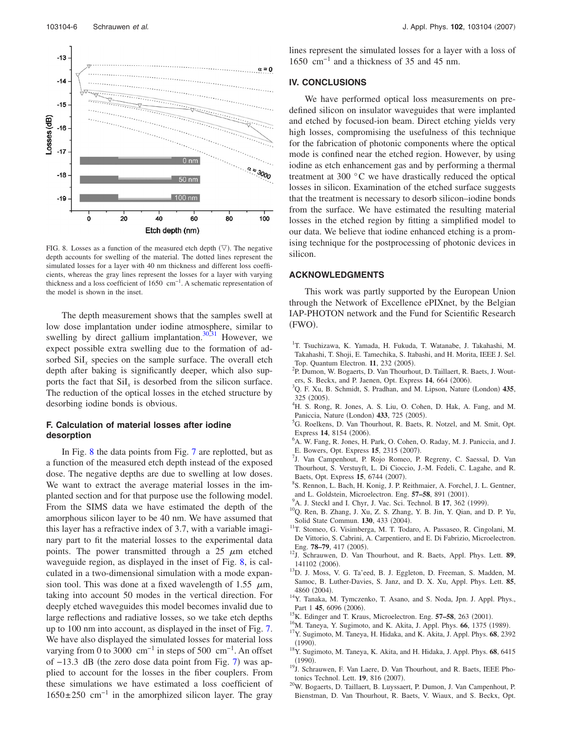<span id="page-5-15"></span>

FIG. 8. Losses as a function of the measured etch depth  $(\nabla)$ . The negative depth accounts for swelling of the material. The dotted lines represent the simulated losses for a layer with 40 nm thickness and different loss coefficients, whereas the gray lines represent the losses for a layer with varying thickness and a loss coefficient of 1650 cm−1. A schematic representation of the model is shown in the inset.

The depth measurement shows that the samples swell at low dose implantation under iodine atmosphere, similar to swelling by direct gallium implantation. $30,31$  $30,31$  However, we expect possible extra swelling due to the formation of adsorbed  $\mathrm{SiI}_x$  species on the sample surface. The overall etch depth after baking is significantly deeper, which also supports the fact that SiI*<sup>x</sup>* is desorbed from the silicon surface. The reduction of the optical losses in the etched structure by desorbing iodine bonds is obvious.

# **F. Calculation of material losses after iodine desorption**

In Fig. [8](#page-5-15) the data points from Fig. [7](#page-4-1) are replotted, but as a function of the measured etch depth instead of the exposed dose. The negative depths are due to swelling at low doses. We want to extract the average material losses in the implanted section and for that purpose use the following model. From the SIMS data we have estimated the depth of the amorphous silicon layer to be 40 nm. We have assumed that this layer has a refractive index of 3.7, with a variable imaginary part to fit the material losses to the experimental data points. The power transmitted through a 25  $\mu$ m etched waveguide region, as displayed in the inset of Fig. [8,](#page-5-15) is calculated in a two-dimensional simulation with a mode expansion tool. This was done at a fixed wavelength of 1.55  $\mu$ m, taking into account 50 modes in the vertical direction. For deeply etched waveguides this model becomes invalid due to large reflections and radiative losses, so we take etch depths up to 100 nm into account, as displayed in the inset of Fig. [7.](#page-4-1) We have also displayed the simulated losses for material loss varying from 0 to 3000 cm<sup>-1</sup> in steps of 500 cm<sup>-1</sup>. An offset of  $-13.3$  dB (the zero dose data point from Fig. [7](#page-4-1)) was applied to account for the losses in the fiber couplers. From these simulations we have estimated a loss coefficient of  $1650 \pm 250$  cm<sup>-1</sup> in the amorphized silicon layer. The gray lines represent the simulated losses for a layer with a loss of 1650 cm−1 and a thickness of 35 and 45 nm.

### **IV. CONCLUSIONS**

We have performed optical loss measurements on predefined silicon on insulator waveguides that were implanted and etched by focused-ion beam. Direct etching yields very high losses, compromising the usefulness of this technique for the fabrication of photonic components where the optical mode is confined near the etched region. However, by using iodine as etch enhancement gas and by performing a thermal treatment at 300 °C we have drastically reduced the optical losses in silicon. Examination of the etched surface suggests that the treatment is necessary to desorb silicon–iodine bonds from the surface. We have estimated the resulting material losses in the etched region by fitting a simplified model to our data. We believe that iodine enhanced etching is a promising technique for the postprocessing of photonic devices in silicon.

## **ACKNOWLEDGMENTS**

This work was partly supported by the European Union through the Network of Excellence ePIXnet, by the Belgian IAP-PHOTON network and the Fund for Scientific Research (FWO).

- <span id="page-5-0"></span>1 T. Tsuchizawa, K. Yamada, H. Fukuda, T. Watanabe, J. Takahashi, M. Takahashi, T. Shoji, E. Tamechika, S. Itabashi, and H. Morita, IEEE J. Sel. Top. Quantum Electron.  $\mathbf{11}$ , 232 (2005).
- P. Dumon, W. Bogaerts, D. Van Thourhout, D. Taillaert, R. Baets, J. Wouters, S. Beckx, and P. Jaenen, Opt. Express 14, 664 (2006).
- <span id="page-5-1"></span>Q. F. Xu, B. Schmidt, S. Pradhan, and M. Lipson, Nature (London) 435,  $325$  (2005).
- <span id="page-5-2"></span><sup>4</sup>H. S. Rong, R. Jones, A. S. Liu, O. Cohen, D. Hak, A. Fang, and M. Paniccia, Nature (London) **433**, 725 (2005).<br><sup>5</sup>G, Boolkans, D. Van Thourbout, B. Boots
- <sup>5</sup>G. Roelkens, D. Van Thourhout, R. Baets, R. Notzel, and M. Smit, Opt. Express **14**, 8154 (2006).
- A. W. Fang, R. Jones, H. Park, O. Cohen, O. Raday, M. J. Paniccia, and J. E. Bowers, Opt. Express **15**, 2315 (2007).
- <span id="page-5-3"></span><sup>7</sup>J. Van Campenhout, P. Rojo Romeo, P. Regreny, C. Saessal, D. Van Thourhout, S. Verstuyft, L. Di Cioccio, J.-M. Fedeli, C. Lagahe, and R. Baets, Opt. Express **15**, 6744 (2007).
- <span id="page-5-4"></span>S. Rennon, L. Bach, H. Konig, J. P. Reithmaier, A. Forchel, J. L. Gentner, and L. Goldstein, Microelectron. Eng. **57–58**, 891 (2001).
- <span id="page-5-5"></span><sup>9</sup>A. J. Steckl and I. Chyr, J. Vac. Sci. Technol. B 17, 362 (1999).
- <span id="page-5-6"></span> $^{10}$ Q. Ren, B. Zhang, J. Xu, Z. S. Zhang, Y. B. Jin, Y. Qian, and D. P. Yu, Solid State Commun. **130**, 433 (2004).
- <span id="page-5-7"></span><sup>11</sup>T. Stomeo, G. Visimberga, M. T. Todaro, A. Passaseo, R. Cingolani, M. De Vittorio, S. Cabrini, A. Carpentiero, and E. Di Fabrizio, Microelectron. Eng. 78-79, 417 (2005).
- <span id="page-5-8"></span><sup>12</sup>J. Schrauwen, D. Van Thourhout, and R. Baets, Appl. Phys. Lett. **89**, 141102 (2006).
- <sup>13</sup>D. J. Moss, V. G. Ta'eed, B. J. Eggleton, D. Freeman, S. Madden, M. Samoc, B. Luther-Davies, S. Janz, and D. X. Xu, Appl. Phys. Lett. **85**, 4860 (2004).
- <span id="page-5-9"></span><sup>14</sup>Y. Tanaka, M. Tymczenko, T. Asano, and S. Noda, Jpn. J. Appl. Phys., Part 1 45, 6096 (2006).
- <span id="page-5-10"></span><sup>15</sup>K. Edinger and T. Kraus, Microelectron. Eng. 57-58, 263 (2001).
- <span id="page-5-11"></span><sup>16</sup>M. Taneya, Y. Sugimoto, and K. Akita, J. Appl. Phys. **66**, 1375 (1989).
- <sup>17</sup>Y. Sugimoto, M. Taneya, H. Hidaka, and K. Akita, J. Appl. Phys. 68, 2392  $(1990)$
- <span id="page-5-12"></span>. 18Y. Sugimoto, M. Taneya, K. Akita, and H. Hidaka, J. Appl. Phys. **<sup>68</sup>**, 6415  $(1990).$
- <span id="page-5-13"></span><sup>19</sup>J. Schrauwen, F. Van Laere, D. Van Thourhout, and R. Baets, IEEE Photonics Technol. Lett. **19**, 816 (2007).
- <span id="page-5-14"></span><sup>20</sup>W. Bogaerts, D. Taillaert, B. Luyssaert, P. Dumon, J. Van Campenhout, P. Bienstman, D. Van Thourhout, R. Baets, V. Wiaux, and S. Beckx, Opt.